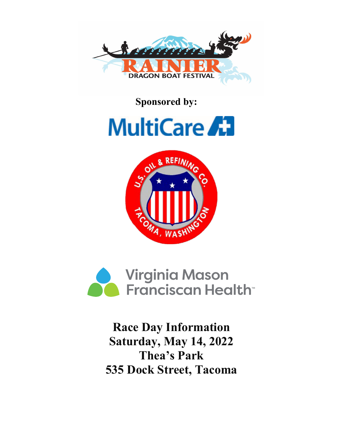

**Sponsored by:**







**Race Day Information Saturday, May 14, 2022 Thea's Park 535 Dock Street, Tacoma**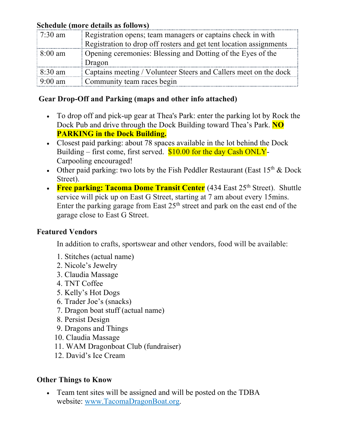## **Schedule (more details as follows)**

| $7:30 \text{ am}$ | Registration opens; team managers or captains check in with        |
|-------------------|--------------------------------------------------------------------|
|                   | Registration to drop off rosters and get tent location assignments |
| $8:00$ am         | Opening ceremonies: Blessing and Dotting of the Eyes of the        |
|                   | Dragon                                                             |
| $8:30 \text{ am}$ | Captains meeting / Volunteer Steers and Callers meet on the dock   |
| $9:00 \text{ am}$ | Community team races begin                                         |

## **Gear Drop-Off and Parking (maps and other info attached)**

- To drop off and pick-up gear at Thea's Park: enter the parking lot by Rock the Dock Pub and drive through the Dock Building toward Thea's Park. **NO PARKING in the Dock Building.**
- Closest paid parking: about 78 spaces available in the lot behind the Dock Building – first come, first served.  $$10.00$  for the day Cash ONLY-Carpooling encouraged!
- Other paid parking: two lots by the Fish Peddler Restaurant (East  $15<sup>th</sup>$  & Dock Street).
- **Free parking: Tacoma Dome Transit Center** (434 East 25<sup>th</sup> Street). Shuttle service will pick up on East G Street, starting at 7 am about every 15mins. Enter the parking garage from East  $25<sup>th</sup>$  street and park on the east end of the garage close to East G Street.

## **Featured Vendors**

In addition to crafts, sportswear and other vendors, food will be available:

- 1. Stitches (actual name)
- 2. Nicole's Jewelry
- 3. Claudia Massage
- 4. TNT Coffee
- 5. Kelly's Hot Dogs
- 6. Trader Joe's (snacks)
- 7. Dragon boat stuff (actual name)
- 8. Persist Design
- 9. Dragons and Things
- 10. Claudia Massage
- 11. WAM Dragonboat Club (fundraiser)
- 12. David's Ice Cream

## **Other Things to Know**

• Team tent sites will be assigned and will be posted on the TDBA website: www.TacomaDragonBoat.org.